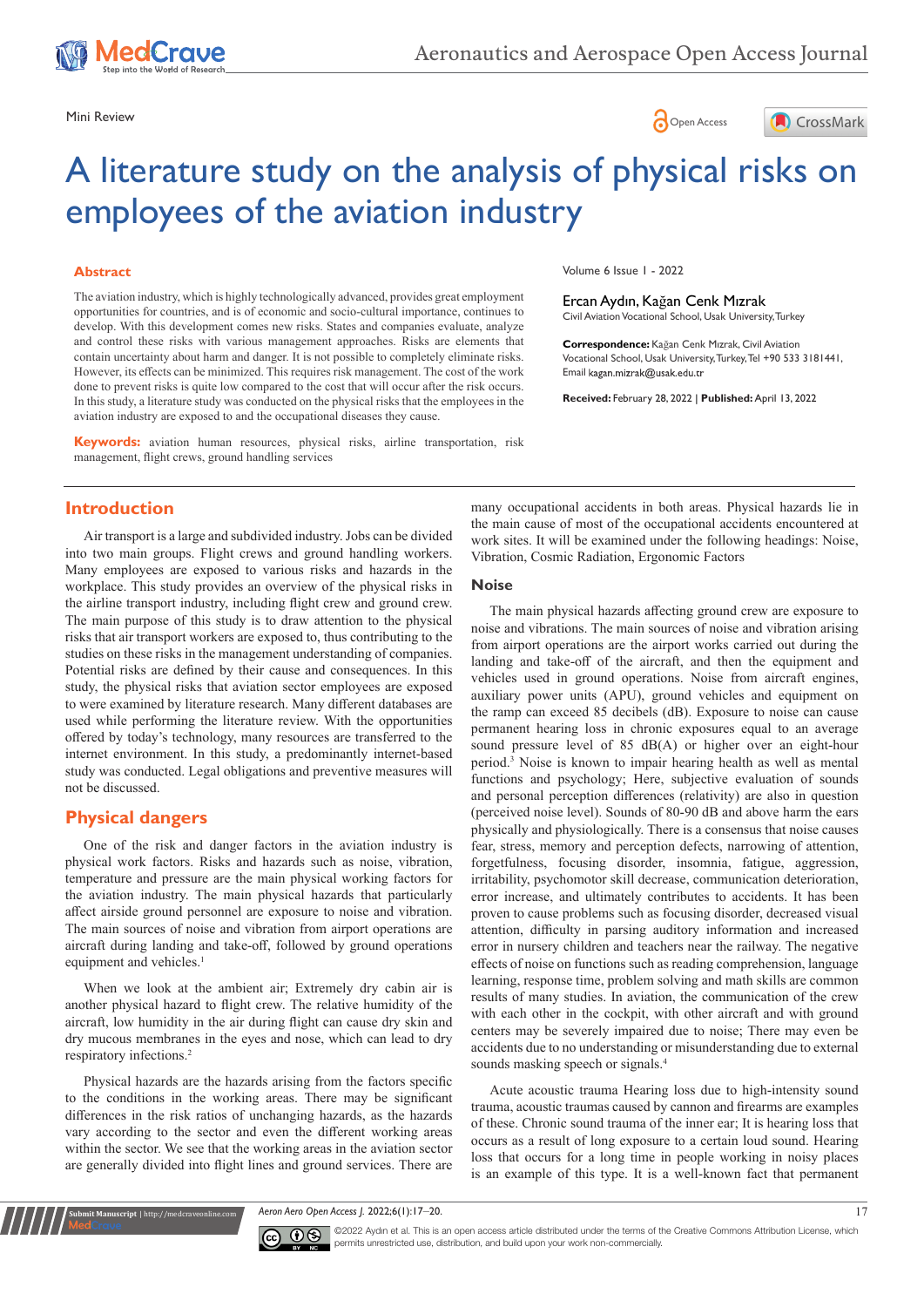





# A literature study on the analysis of physical risks on employees of the aviation industry

## **Abstract**

The aviation industry, which is highly technologically advanced, provides great employment opportunities for countries, and is of economic and socio-cultural importance, continues to develop. With this development comes new risks. States and companies evaluate, analyze and control these risks with various management approaches. Risks are elements that contain uncertainty about harm and danger. It is not possible to completely eliminate risks. However, its effects can be minimized. This requires risk management. The cost of the work done to prevent risks is quite low compared to the cost that will occur after the risk occurs. In this study, a literature study was conducted on the physical risks that the employees in the aviation industry are exposed to and the occupational diseases they cause.

**Keywords:** aviation human resources, physical risks, airline transportation, risk management, flight crews, ground handling services

# **Introduction**

Air transport is a large and subdivided industry. Jobs can be divided into two main groups. Flight crews and ground handling workers. Many employees are exposed to various risks and hazards in the workplace. This study provides an overview of the physical risks in the airline transport industry, including flight crew and ground crew. The main purpose of this study is to draw attention to the physical risks that air transport workers are exposed to, thus contributing to the studies on these risks in the management understanding of companies. Potential risks are defined by their cause and consequences. In this study, the physical risks that aviation sector employees are exposed to were examined by literature research. Many different databases are used while performing the literature review. With the opportunities offered by today's technology, many resources are transferred to the internet environment. In this study, a predominantly internet-based study was conducted. Legal obligations and preventive measures will not be discussed.

# **Physical dangers**

**Kubmit Manuscript** | http://medcraveonline.c

One of the risk and danger factors in the aviation industry is physical work factors. Risks and hazards such as noise, vibration, temperature and pressure are the main physical working factors for the aviation industry. The main physical hazards that particularly affect airside ground personnel are exposure to noise and vibration. The main sources of noise and vibration from airport operations are aircraft during landing and take-off, followed by ground operations equipment and vehicles.<sup>1</sup>

When we look at the ambient air; Extremely dry cabin air is another physical hazard to flight crew. The relative humidity of the aircraft, low humidity in the air during flight can cause dry skin and dry mucous membranes in the eyes and nose, which can lead to dry respiratory infections.2

Physical hazards are the hazards arising from the factors specific to the conditions in the working areas. There may be significant differences in the risk ratios of unchanging hazards, as the hazards vary according to the sector and even the different working areas within the sector. We see that the working areas in the aviation sector are generally divided into flight lines and ground services. There are Volume 6 Issue 1 - 2022

Ercan Aydın, Kağan Cenk Mızrak Civil Aviation Vocational School, Usak University, Turkey

**Correspondence:** Kağan Cenk Mızrak, Civil Aviation Vocational School, Usak University, Turkey, Tel +90 533 3181441, Email kagan.mizrak@usak.edu.tr

**Received:** February 28, 2022 | **Published:** April 13, 2022

many occupational accidents in both areas. Physical hazards lie in the main cause of most of the occupational accidents encountered at work sites. It will be examined under the following headings: Noise, Vibration, Cosmic Radiation, Ergonomic Factors

## **Noise**

The main physical hazards affecting ground crew are exposure to noise and vibrations. The main sources of noise and vibration arising from airport operations are the airport works carried out during the landing and take-off of the aircraft, and then the equipment and vehicles used in ground operations. Noise from aircraft engines, auxiliary power units (APU), ground vehicles and equipment on the ramp can exceed 85 decibels (dB). Exposure to noise can cause permanent hearing loss in chronic exposures equal to an average sound pressure level of 85 dB(A) or higher over an eight-hour period.3 Noise is known to impair hearing health as well as mental functions and psychology; Here, subjective evaluation of sounds and personal perception differences (relativity) are also in question (perceived noise level). Sounds of 80-90 dB and above harm the ears physically and physiologically. There is a consensus that noise causes fear, stress, memory and perception defects, narrowing of attention, forgetfulness, focusing disorder, insomnia, fatigue, aggression, irritability, psychomotor skill decrease, communication deterioration, error increase, and ultimately contributes to accidents. It has been proven to cause problems such as focusing disorder, decreased visual attention, difficulty in parsing auditory information and increased error in nursery children and teachers near the railway. The negative effects of noise on functions such as reading comprehension, language learning, response time, problem solving and math skills are common results of many studies. In aviation, the communication of the crew with each other in the cockpit, with other aircraft and with ground centers may be severely impaired due to noise; There may even be accidents due to no understanding or misunderstanding due to external sounds masking speech or signals.<sup>4</sup>

Acute acoustic trauma Hearing loss due to high-intensity sound trauma, acoustic traumas caused by cannon and firearms are examples of these. Chronic sound trauma of the inner ear; It is hearing loss that occurs as a result of long exposure to a certain loud sound. Hearing loss that occurs for a long time in people working in noisy places is an example of this type. It is a well-known fact that permanent

*Aeron Aero Open Access J.* 2022;6(1):17‒20. 17



©2022 Aydın et al. This is an open access article distributed under the terms of the Creative Commons Attribution License, which permits unrestricted use, distribution, and build upon your work non-commercially.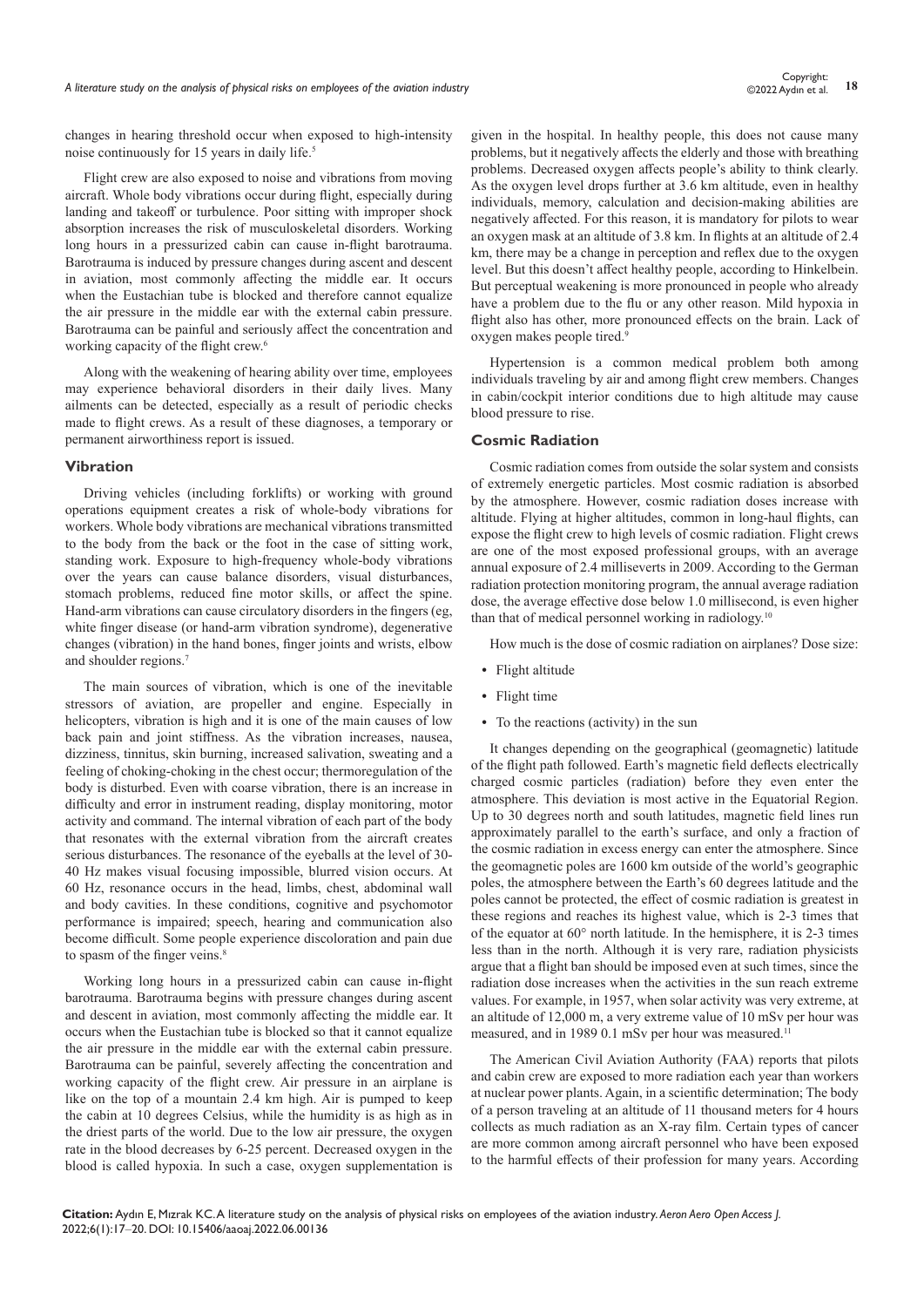changes in hearing threshold occur when exposed to high-intensity noise continuously for 15 years in daily life.5

Flight crew are also exposed to noise and vibrations from moving aircraft. Whole body vibrations occur during flight, especially during landing and takeoff or turbulence. Poor sitting with improper shock absorption increases the risk of musculoskeletal disorders. Working long hours in a pressurized cabin can cause in-flight barotrauma. Barotrauma is induced by pressure changes during ascent and descent in aviation, most commonly affecting the middle ear. It occurs when the Eustachian tube is blocked and therefore cannot equalize the air pressure in the middle ear with the external cabin pressure. Barotrauma can be painful and seriously affect the concentration and working capacity of the flight crew.<sup>6</sup>

Along with the weakening of hearing ability over time, employees may experience behavioral disorders in their daily lives. Many ailments can be detected, especially as a result of periodic checks made to flight crews. As a result of these diagnoses, a temporary or permanent airworthiness report is issued.

# **Vibration**

Driving vehicles (including forklifts) or working with ground operations equipment creates a risk of whole-body vibrations for workers. Whole body vibrations are mechanical vibrations transmitted to the body from the back or the foot in the case of sitting work, standing work. Exposure to high-frequency whole-body vibrations over the years can cause balance disorders, visual disturbances, stomach problems, reduced fine motor skills, or affect the spine. Hand-arm vibrations can cause circulatory disorders in the fingers (eg, white finger disease (or hand-arm vibration syndrome), degenerative changes (vibration) in the hand bones, finger joints and wrists, elbow and shoulder regions.7

The main sources of vibration, which is one of the inevitable stressors of aviation, are propeller and engine. Especially in helicopters, vibration is high and it is one of the main causes of low back pain and joint stiffness. As the vibration increases, nausea, dizziness, tinnitus, skin burning, increased salivation, sweating and a feeling of choking-choking in the chest occur; thermoregulation of the body is disturbed. Even with coarse vibration, there is an increase in difficulty and error in instrument reading, display monitoring, motor activity and command. The internal vibration of each part of the body that resonates with the external vibration from the aircraft creates serious disturbances. The resonance of the eyeballs at the level of 30- 40 Hz makes visual focusing impossible, blurred vision occurs. At 60 Hz, resonance occurs in the head, limbs, chest, abdominal wall and body cavities. In these conditions, cognitive and psychomotor performance is impaired; speech, hearing and communication also become difficult. Some people experience discoloration and pain due to spasm of the finger veins.<sup>8</sup>

Working long hours in a pressurized cabin can cause in-flight barotrauma. Barotrauma begins with pressure changes during ascent and descent in aviation, most commonly affecting the middle ear. It occurs when the Eustachian tube is blocked so that it cannot equalize the air pressure in the middle ear with the external cabin pressure. Barotrauma can be painful, severely affecting the concentration and working capacity of the flight crew. Air pressure in an airplane is like on the top of a mountain 2.4 km high. Air is pumped to keep the cabin at 10 degrees Celsius, while the humidity is as high as in the driest parts of the world. Due to the low air pressure, the oxygen rate in the blood decreases by 6-25 percent. Decreased oxygen in the blood is called hypoxia. In such a case, oxygen supplementation is

given in the hospital. In healthy people, this does not cause many problems, but it negatively affects the elderly and those with breathing problems. Decreased oxygen affects people's ability to think clearly. As the oxygen level drops further at 3.6 km altitude, even in healthy individuals, memory, calculation and decision-making abilities are negatively affected. For this reason, it is mandatory for pilots to wear an oxygen mask at an altitude of 3.8 km. In flights at an altitude of 2.4 km, there may be a change in perception and reflex due to the oxygen level. But this doesn't affect healthy people, according to Hinkelbein. But perceptual weakening is more pronounced in people who already have a problem due to the flu or any other reason. Mild hypoxia in flight also has other, more pronounced effects on the brain. Lack of oxygen makes people tired.<sup>9</sup>

Hypertension is a common medical problem both among individuals traveling by air and among flight crew members. Changes in cabin/cockpit interior conditions due to high altitude may cause blood pressure to rise.

## **Cosmic Radiation**

Cosmic radiation comes from outside the solar system and consists of extremely energetic particles. Most cosmic radiation is absorbed by the atmosphere. However, cosmic radiation doses increase with altitude. Flying at higher altitudes, common in long-haul flights, can expose the flight crew to high levels of cosmic radiation. Flight crews are one of the most exposed professional groups, with an average annual exposure of 2.4 milliseverts in 2009. According to the German radiation protection monitoring program, the annual average radiation dose, the average effective dose below 1.0 millisecond, is even higher than that of medical personnel working in radiology.<sup>10</sup>

How much is the dose of cosmic radiation on airplanes? Dose size:

- **•** Flight altitude
- **•** Flight time
- **•** To the reactions (activity) in the sun

It changes depending on the geographical (geomagnetic) latitude of the flight path followed. Earth's magnetic field deflects electrically charged cosmic particles (radiation) before they even enter the atmosphere. This deviation is most active in the Equatorial Region. Up to 30 degrees north and south latitudes, magnetic field lines run approximately parallel to the earth's surface, and only a fraction of the cosmic radiation in excess energy can enter the atmosphere. Since the geomagnetic poles are 1600 km outside of the world's geographic poles, the atmosphere between the Earth's 60 degrees latitude and the poles cannot be protected, the effect of cosmic radiation is greatest in these regions and reaches its highest value, which is 2-3 times that of the equator at 60° north latitude. In the hemisphere, it is 2-3 times less than in the north. Although it is very rare, radiation physicists argue that a flight ban should be imposed even at such times, since the radiation dose increases when the activities in the sun reach extreme values. For example, in 1957, when solar activity was very extreme, at an altitude of 12,000 m, a very extreme value of 10 mSv per hour was measured, and in 1989 0.1 mSv per hour was measured.<sup>11</sup>

The American Civil Aviation Authority (FAA) reports that pilots and cabin crew are exposed to more radiation each year than workers at nuclear power plants. Again, in a scientific determination; The body of a person traveling at an altitude of 11 thousand meters for 4 hours collects as much radiation as an X-ray film. Certain types of cancer are more common among aircraft personnel who have been exposed to the harmful effects of their profession for many years. According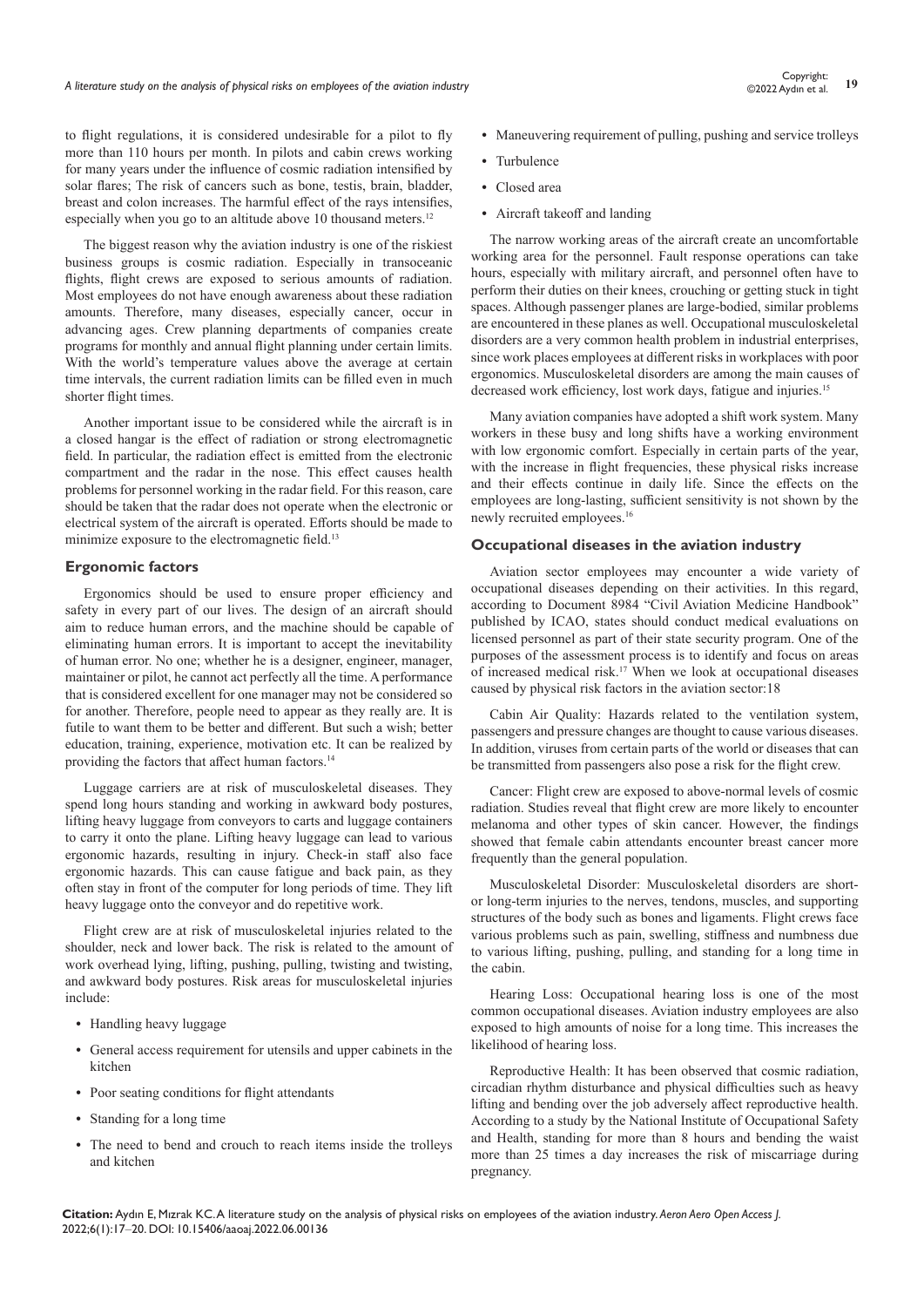©2022 Aydın et al.

to flight regulations, it is considered undesirable for a pilot to fly more than 110 hours per month. In pilots and cabin crews working for many years under the influence of cosmic radiation intensified by solar flares; The risk of cancers such as bone, testis, brain, bladder, breast and colon increases. The harmful effect of the rays intensifies, especially when you go to an altitude above 10 thousand meters.<sup>12</sup>

The biggest reason why the aviation industry is one of the riskiest business groups is cosmic radiation. Especially in transoceanic flights, flight crews are exposed to serious amounts of radiation. Most employees do not have enough awareness about these radiation amounts. Therefore, many diseases, especially cancer, occur in advancing ages. Crew planning departments of companies create programs for monthly and annual flight planning under certain limits. With the world's temperature values above the average at certain time intervals, the current radiation limits can be filled even in much shorter flight times.

Another important issue to be considered while the aircraft is in a closed hangar is the effect of radiation or strong electromagnetic field. In particular, the radiation effect is emitted from the electronic compartment and the radar in the nose. This effect causes health problems for personnel working in the radar field. For this reason, care should be taken that the radar does not operate when the electronic or electrical system of the aircraft is operated. Efforts should be made to minimize exposure to the electromagnetic field.<sup>13</sup>

# **Ergonomic factors**

Ergonomics should be used to ensure proper efficiency and safety in every part of our lives. The design of an aircraft should aim to reduce human errors, and the machine should be capable of eliminating human errors. It is important to accept the inevitability of human error. No one; whether he is a designer, engineer, manager, maintainer or pilot, he cannot act perfectly all the time. A performance that is considered excellent for one manager may not be considered so for another. Therefore, people need to appear as they really are. It is futile to want them to be better and different. But such a wish; better education, training, experience, motivation etc. It can be realized by providing the factors that affect human factors.<sup>14</sup>

Luggage carriers are at risk of musculoskeletal diseases. They spend long hours standing and working in awkward body postures, lifting heavy luggage from conveyors to carts and luggage containers to carry it onto the plane. Lifting heavy luggage can lead to various ergonomic hazards, resulting in injury. Check-in staff also face ergonomic hazards. This can cause fatigue and back pain, as they often stay in front of the computer for long periods of time. They lift heavy luggage onto the conveyor and do repetitive work.

Flight crew are at risk of musculoskeletal injuries related to the shoulder, neck and lower back. The risk is related to the amount of work overhead lying, lifting, pushing, pulling, twisting and twisting, and awkward body postures. Risk areas for musculoskeletal injuries include:

- **•** Handling heavy luggage
- **•** General access requirement for utensils and upper cabinets in the kitchen
- **•** Poor seating conditions for flight attendants
- **•** Standing for a long time
- **•** The need to bend and crouch to reach items inside the trolleys and kitchen
- Maneuvering requirement of pulling, pushing and service trolleys
- **•** Turbulence
- **•** Closed area
- **•** Aircraft takeoff and landing

The narrow working areas of the aircraft create an uncomfortable working area for the personnel. Fault response operations can take hours, especially with military aircraft, and personnel often have to perform their duties on their knees, crouching or getting stuck in tight spaces. Although passenger planes are large-bodied, similar problems are encountered in these planes as well. Occupational musculoskeletal disorders are a very common health problem in industrial enterprises, since work places employees at different risks in workplaces with poor ergonomics. Musculoskeletal disorders are among the main causes of decreased work efficiency, lost work days, fatigue and injuries.<sup>15</sup>

Many aviation companies have adopted a shift work system. Many workers in these busy and long shifts have a working environment with low ergonomic comfort. Especially in certain parts of the year, with the increase in flight frequencies, these physical risks increase and their effects continue in daily life. Since the effects on the employees are long-lasting, sufficient sensitivity is not shown by the newly recruited employees.16

#### **Occupational diseases in the aviation industry**

Aviation sector employees may encounter a wide variety of occupational diseases depending on their activities. In this regard, according to Document 8984 "Civil Aviation Medicine Handbook" published by ICAO, states should conduct medical evaluations on licensed personnel as part of their state security program. One of the purposes of the assessment process is to identify and focus on areas of increased medical risk.17 When we look at occupational diseases caused by physical risk factors in the aviation sector:18

Cabin Air Quality: Hazards related to the ventilation system, passengers and pressure changes are thought to cause various diseases. In addition, viruses from certain parts of the world or diseases that can be transmitted from passengers also pose a risk for the flight crew.

Cancer: Flight crew are exposed to above-normal levels of cosmic radiation. Studies reveal that flight crew are more likely to encounter melanoma and other types of skin cancer. However, the findings showed that female cabin attendants encounter breast cancer more frequently than the general population.

Musculoskeletal Disorder: Musculoskeletal disorders are shortor long-term injuries to the nerves, tendons, muscles, and supporting structures of the body such as bones and ligaments. Flight crews face various problems such as pain, swelling, stiffness and numbness due to various lifting, pushing, pulling, and standing for a long time in the cabin.

Hearing Loss: Occupational hearing loss is one of the most common occupational diseases. Aviation industry employees are also exposed to high amounts of noise for a long time. This increases the likelihood of hearing loss.

Reproductive Health: It has been observed that cosmic radiation, circadian rhythm disturbance and physical difficulties such as heavy lifting and bending over the job adversely affect reproductive health. According to a study by the National Institute of Occupational Safety and Health, standing for more than 8 hours and bending the waist more than 25 times a day increases the risk of miscarriage during pregnancy.